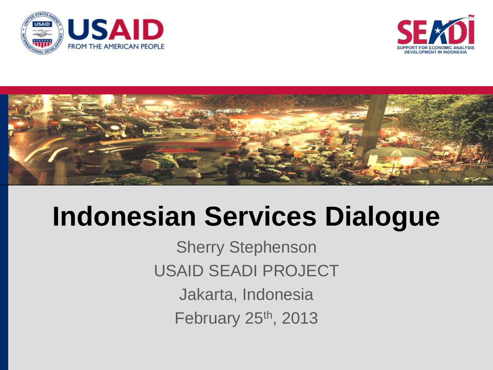





# **Indonesian Services Dialogue**

Sherry Stephenson USAID SEADI PROJECT Jakarta, Indonesia February 25th, 2013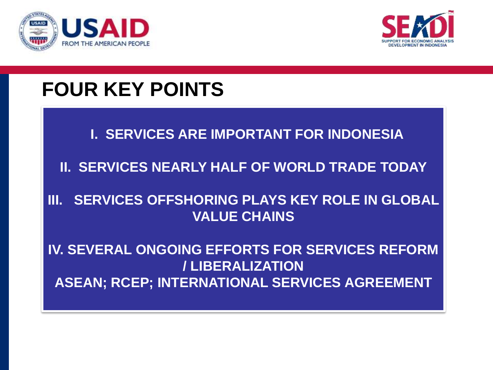



### **FOUR KEY POINTS**

#### **I. SERVICES ARE IMPORTANT FOR INDONESIA**

#### **II. SERVICES NEARLY HALF OF WORLD TRADE TODAY**

#### **III. SERVICES OFFSHORING PLAYS KEY ROLE IN GLOBAL VALUE CHAINS**

#### **IV. SEVERAL ONGOING EFFORTS FOR SERVICES REFORM / LIBERALIZATION ASEAN; RCEP; INTERNATIONAL SERVICES AGREEMENT**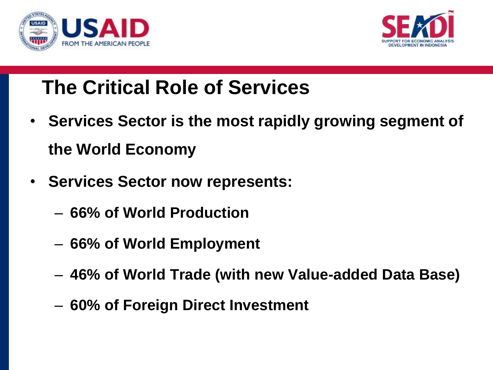



## **The Critical Role of Services**

- **Services Sector is the most rapidly growing segment of the World Economy**
- **Services Sector now represents:**
	- **66% of World Production**
	- **66% of World Employment**
	- **46% of World Trade (with new Value-added Data Base)**
	- **60% of Foreign Direct Investment**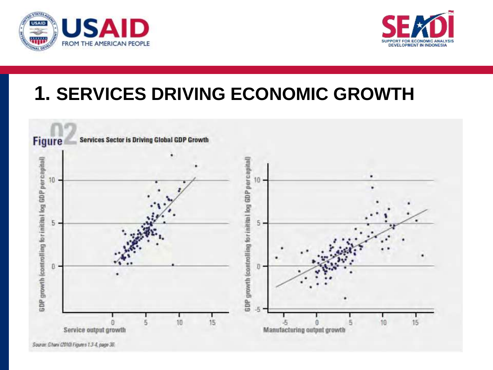



### **1. SERVICES DRIVING ECONOMIC GROWTH**

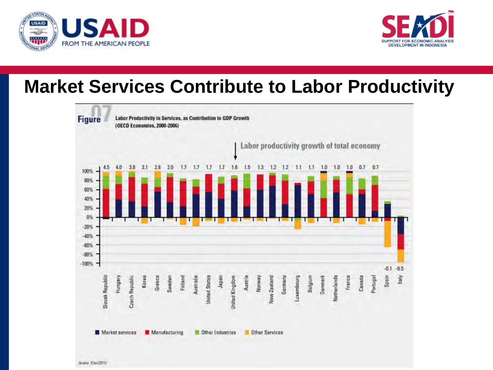



### **Market Services Contribute to Labor Productivity**

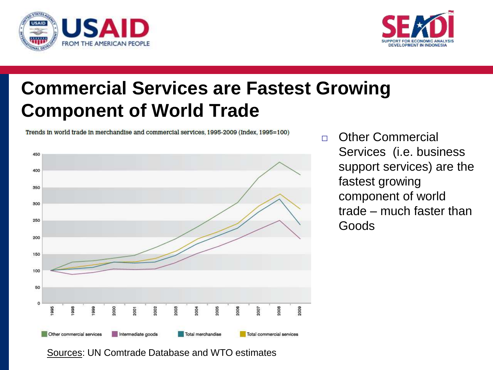



### **Commercial Services are Fastest Growing Component of World Trade**

Trends in world trade in merchandise and commercial services, 1995-2009 (Index, 1995=100)



n Other Commercial Services (i.e. business support services) are the fastest growing component of world trade – much faster than Goods

Sources: UN Comtrade Database and WTO estimates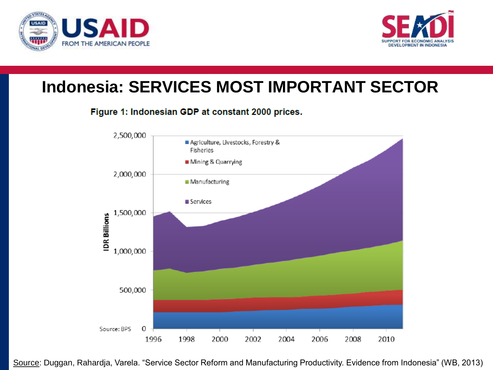



### **Indonesia: SERVICES MOST IMPORTANT SECTOR**

#### Figure 1: Indonesian GDP at constant 2000 prices.



Source: Duggan, Rahardja, Varela. "Service Sector Reform and Manufacturing Productivity. Evidence from Indonesia" (WB, 2013)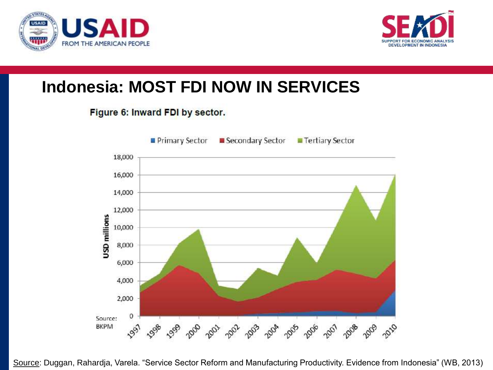



#### **Indonesia: MOST FDI NOW IN SERVICES**

#### Figure 6: Inward FDI by sector.



Source: Duggan, Rahardja, Varela. "Service Sector Reform and Manufacturing Productivity. Evidence from Indonesia" (WB, 2013)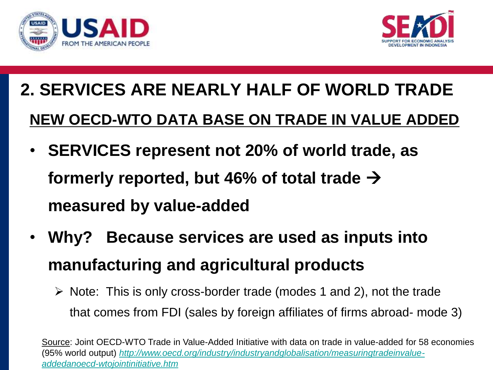



## **2. SERVICES ARE NEARLY HALF OF WORLD TRADE NEW OECD-WTO DATA BASE ON TRADE IN VALUE ADDED**

- **SERVICES represent not 20% of world trade, as**  formerly reported, but 46% of total trade  $\rightarrow$ **measured by value-added**
- **Why? Because services are used as inputs into manufacturing and agricultural products**
	- $\triangleright$  Note: This is only cross-border trade (modes 1 and 2), not the trade that comes from FDI (sales by foreign affiliates of firms abroad- mode 3)

Source: Joint OECD-WTO Trade in Value-Added Initiative with data on trade in value-added for 58 economies (95% world output) *[http://www.oecd.org/industry/industryandglobalisation/measuringtradeinvalue](http://www.oecd.org/industry/industryandglobalisation/measuringtradeinvalue-addedanoecd-wtojointinitiative.htm)[addedanoecd-wtojointinitiative.htm](http://www.oecd.org/industry/industryandglobalisation/measuringtradeinvalue-addedanoecd-wtojointinitiative.htm)*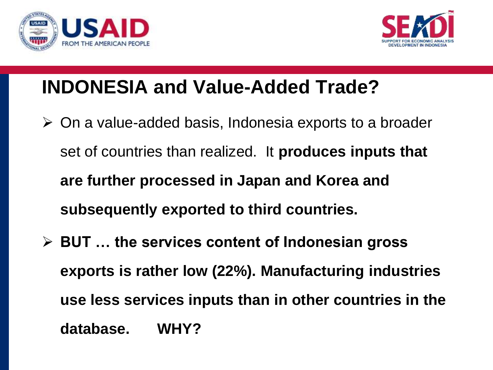



### **INDONESIA and Value-Added Trade?**

- $\triangleright$  On a value-added basis, Indonesia exports to a broader set of countries than realized. It **produces inputs that are further processed in Japan and Korea and subsequently exported to third countries.**
- **BUT … the services content of Indonesian gross exports is rather low (22%). Manufacturing industries use less services inputs than in other countries in the database. WHY?**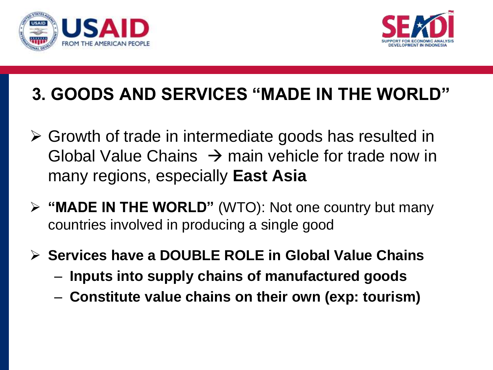



### **3. GOODS AND SERVICES "MADE IN THE WORLD"**

- Growth of trade in intermediate goods has resulted in Global Value Chains  $\rightarrow$  main vehicle for trade now in many regions, especially **East Asia**
- **"MADE IN THE WORLD"** (WTO): Not one country but many countries involved in producing a single good
- **Services have a DOUBLE ROLE in Global Value Chains**
	- **Inputs into supply chains of manufactured goods**
	- **Constitute value chains on their own (exp: tourism)**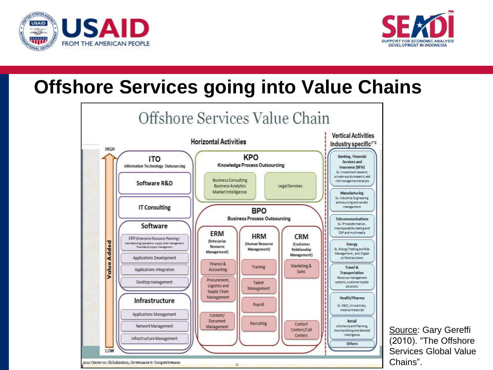



### **Offshore Services going into Value Chains**



Source: Gary Gereffi (2010). "The Offshore Services Global Value Chains".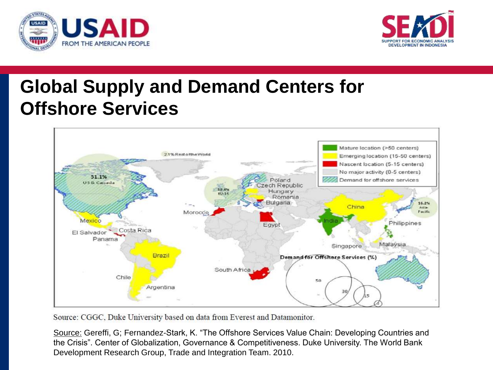



### **Global Supply and Demand Centers for Offshore Services**



Source: CGGC, Duke University based on data from Everest and Datamonitor.

Source: Gereffi, G; Fernandez-Stark, K. "The Offshore Services Value Chain: Developing Countries and the Crisis". Center of Globalization, Governance & Competitiveness. Duke University. The World Bank Development Research Group, Trade and Integration Team. 2010.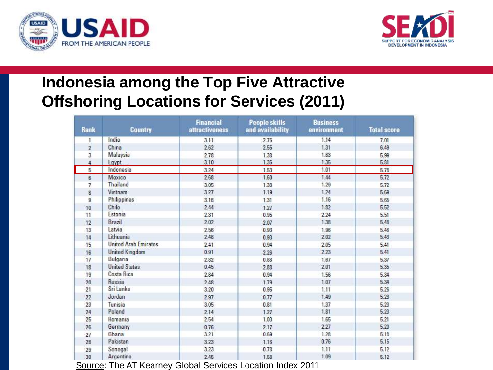



#### **Indonesia among the Top Five Attractive Offshoring Locations for Services (2011)**

| <b>Rank</b>    | <b>Country</b>              | <b>Financial</b><br>attractiveness | <b>People skills</b><br>and availability | <b>Business</b><br>environment | <b>Total score</b> |
|----------------|-----------------------------|------------------------------------|------------------------------------------|--------------------------------|--------------------|
| 1              | India                       | 3.11                               | 2.76                                     | 1.14                           | 7.01               |
| $\overline{2}$ | China                       | 2.62                               | 2.55                                     | 1.31                           | 6.49               |
| 3              | Malaysia                    | 2.78                               | 1.38                                     | 1.83                           | 5.99               |
|                | Egypt                       | 3.10                               | 1.36                                     | 1.35                           | 5.81               |
| 5              | Indonesia                   | 3.24                               | 1.53                                     | 1.01                           | 5.78               |
| 6              | Mexico                      | 2.68                               | 1.60                                     | 1.44                           | 5.72               |
| 7              | Thailand                    | 3.05                               | 1.38                                     | 1.29                           | 5.72               |
| 8              | Vietnam                     | 3.27                               | 1.19                                     | 1.24                           | 5.69               |
| $\overline{9}$ | Philippines                 | 3.18                               | 1.31                                     | 1.16                           | 5.65               |
| 10             | Chile                       | 2.44                               | 1.27                                     | 1.82                           | 5.52               |
| 11             | Estonia                     | 2.31                               | 0.95                                     | 2.24                           | 5.51               |
| 12             | Brazil                      | 2.02                               | 2.07                                     | 1.38                           | 5.48               |
| 13             | Latvia                      | 2.56                               | 0.93                                     | 1.96                           | 5.46               |
| 14             | Lithuania                   | 2.48                               | 0.93                                     | 2.02                           | 5.43               |
| 15             | <b>United Arab Emirates</b> | 2.41                               | 0.94                                     | 2.05                           | 5.41               |
| 16             | <b>United Kingdom</b>       | 0.91                               | 2.26                                     | 2.23                           | 5.41               |
| 17             | Bulgaria                    | 2.82                               | 0.88                                     | 1.67                           | 5.37               |
| 18             | <b>United States</b>        | 0.45                               | 2.88                                     | 2.01                           | 5.35               |
| 19             | Costa Rica                  | 2.84                               | 0.94                                     | 1.56                           | 5.34               |
| 20             | Russia                      | 2.48                               | 1.79                                     | 1.07                           | 5.34               |
| 21             | Sri Lanka                   | 3.20                               | 0.95                                     | 1.11                           | 5.26               |
| 22             | Jordan                      | 2.97                               | 0.77                                     | 1.49                           | 5.23               |
| 23             | Tunisia                     | 3.05                               | 0.81                                     | 1.37                           | 5.23               |
| 24             | Poland                      | 2.14                               | 1.27                                     | 1.81                           | 5.23               |
| 25             | Romania                     | 2.54                               | 1.03                                     | 1.65                           | 5.21               |
| 26             | Germany                     | 0.76                               | 2.17                                     | 2.27                           | 5.20               |
| 27             | Ghana                       | 3.21                               | 0.69                                     | 1.28                           | 5.18               |
| 28             | Pakistan                    | 3.23                               | 1.16                                     | 0.76                           | 5.15               |
| 29             | Senegal                     | 3.23                               | 0.78                                     | 1.11                           | 5.12               |
| 30             | Argentina                   | 2.45                               | 1.58                                     | 1.09                           | 5.12               |

Source: The AT Kearney Global Services Location Index 2011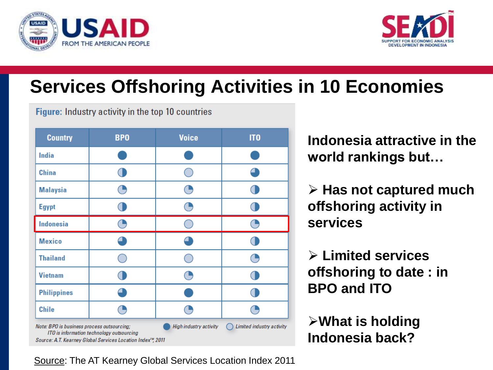



### **Services Offshoring Activities in 10 Economies**

Figure: Industry activity in the top 10 countries

| <b>Country</b>                                                                                                                                                                                                                    | <b>BPO</b> | <b>Voice</b> | IT <sub>0</sub> |  |  |
|-----------------------------------------------------------------------------------------------------------------------------------------------------------------------------------------------------------------------------------|------------|--------------|-----------------|--|--|
| <b>India</b>                                                                                                                                                                                                                      |            |              |                 |  |  |
| <b>China</b>                                                                                                                                                                                                                      |            |              |                 |  |  |
| <b>Malaysia</b>                                                                                                                                                                                                                   |            |              |                 |  |  |
| <b>Egypt</b>                                                                                                                                                                                                                      |            |              |                 |  |  |
| <b>Indonesia</b>                                                                                                                                                                                                                  |            |              |                 |  |  |
| <b>Mexico</b>                                                                                                                                                                                                                     |            |              |                 |  |  |
| <b>Thailand</b>                                                                                                                                                                                                                   |            |              |                 |  |  |
| <b>Vietnam</b>                                                                                                                                                                                                                    |            |              |                 |  |  |
| <b>Philippines</b>                                                                                                                                                                                                                |            |              |                 |  |  |
| <b>Chile</b>                                                                                                                                                                                                                      |            |              |                 |  |  |
| Note: BPO is business process outsourcing;<br><b>High industry activity</b><br>Limited industry activity<br>ITO is information technology outsourcing<br>Source: A.T. Kearney Global Services Location Index <sup>1M</sup> , 2011 |            |              |                 |  |  |

**Indonesia attractive in the world rankings but…**

 **Has not captured much offshoring activity in services** 

 **Limited services offshoring to date : in BPO and ITO**

**What is holding Indonesia back?**

Source: The AT Kearney Global Services Location Index 2011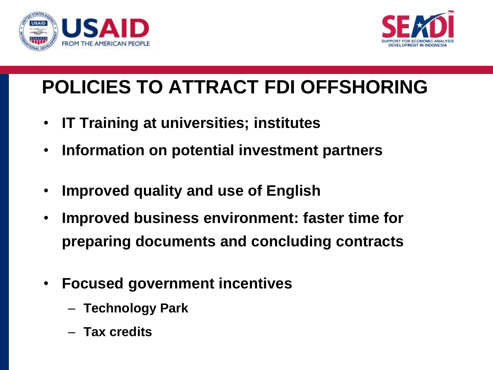



## **POLICIES TO ATTRACT FDI OFFSHORING**

- **IT Training at universities; institutes**
- **Information on potential investment partners**
- **Improved quality and use of English**
- **Improved business environment: faster time for preparing documents and concluding contracts**
- **Focused government incentives**
	- **Technology Park**
	- **Tax credits**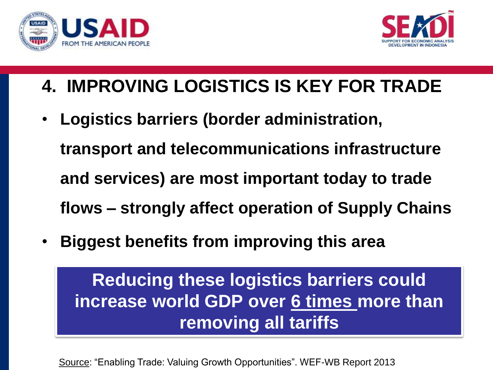



### **4. IMPROVING LOGISTICS IS KEY FOR TRADE**

- **Logistics barriers (border administration, transport and telecommunications infrastructure and services) are most important today to trade flows – strongly affect operation of Supply Chains**
- **Biggest benefits from improving this area**

**Reducing these logistics barriers could increase world GDP over 6 times more than removing all tariffs**

Source: "Enabling Trade: Valuing Growth Opportunities". WEF-WB Report 2013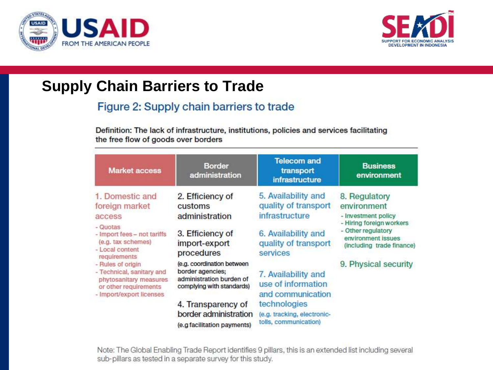



#### **Supply Chain Barriers to Trade**

#### Figure 2: Supply chain barriers to trade

Definition: The lack of infrastructure, institutions, policies and services facilitating the free flow of goods over borders

| <b>Market access</b>                                                                                                          | <b>Border</b><br>administration                                                                         | <b>Telecom and</b><br>transport<br>infrastructure                    | <b>Business</b><br>environment                                                                                                                           |  |
|-------------------------------------------------------------------------------------------------------------------------------|---------------------------------------------------------------------------------------------------------|----------------------------------------------------------------------|----------------------------------------------------------------------------------------------------------------------------------------------------------|--|
| 1. Domestic and<br>foreign market<br>access                                                                                   | 2. Efficiency of<br>customs<br>administration                                                           | 5. Availability and<br>quality of transport<br>infrastructure        | 8. Regulatory<br>environment<br>- Investment policy<br>- Hiring foreign workers<br>- Other regulatory<br>environment issues<br>(including trade finance) |  |
| - Quotas<br>- Import fees - not tariffs<br>(e.g. tax schemes)<br>- Local content<br>requirements                              | 3. Efficiency of<br>import-export<br>procedures                                                         | 6. Availability and<br>quality of transport<br>services              |                                                                                                                                                          |  |
| - Rules of origin<br>- Technical, sanitary and<br>phytosanitary measures<br>or other requirements<br>- Import/export licenses | (e.g. coordination between<br>border agencies;<br>administration burden of<br>complying with standards) | 7. Availability and<br>use of information<br>and communication       | 9. Physical security                                                                                                                                     |  |
|                                                                                                                               | 4. Transparency of<br>border administration<br>(e.g facilitation payments)                              | technologies<br>(e.g. tracking, electronic-<br>tolls, communication) |                                                                                                                                                          |  |

Note: The Global Enabling Trade Report identifies 9 pillars, this is an extended list including several sub-pillars as tested in a separate survey for this study.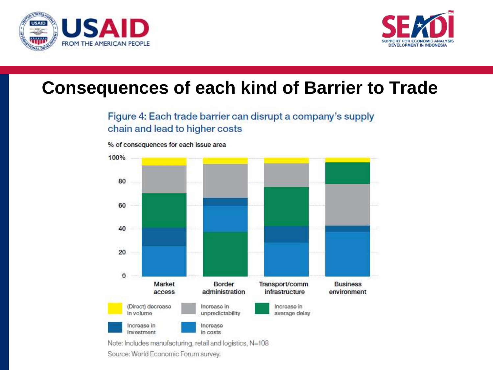



### **Consequences of each kind of Barrier to Trade**

#### Figure 4: Each trade barrier can disrupt a company's supply chain and lead to higher costs



% of consequences for each issue area

Note: Includes manufacturing, retail and logistics, N=108 Source: World Economic Forum survey.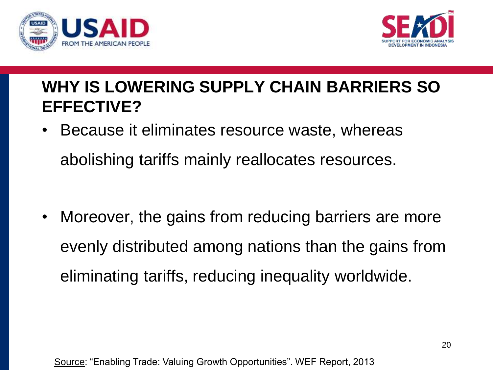



### **WHY IS LOWERING SUPPLY CHAIN BARRIERS SO EFFECTIVE?**

- Because it eliminates resource waste, whereas abolishing tariffs mainly reallocates resources.
- Moreover, the gains from reducing barriers are more evenly distributed among nations than the gains from eliminating tariffs, reducing inequality worldwide.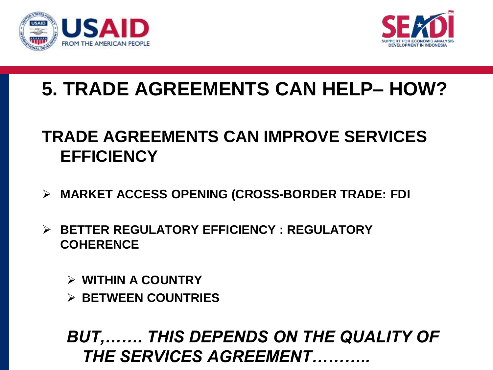



### **5. TRADE AGREEMENTS CAN HELP– HOW?**

### **TRADE AGREEMENTS CAN IMPROVE SERVICES EFFICIENCY**

- **MARKET ACCESS OPENING (CROSS-BORDER TRADE: FDI**
- **BETTER REGULATORY EFFICIENCY : REGULATORY COHERENCE**
	- **WITHIN A COUNTRY**
	- **BETWEEN COUNTRIES**

*BUT,……. THIS DEPENDS ON THE QUALITY OF THE SERVICES AGREEMENT………..*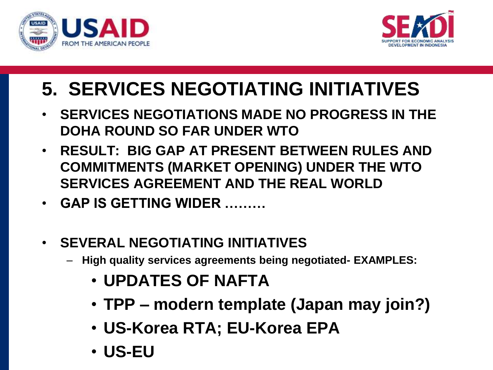



## **5. SERVICES NEGOTIATING INITIATIVES**

- **SERVICES NEGOTIATIONS MADE NO PROGRESS IN THE DOHA ROUND SO FAR UNDER WTO**
- **RESULT: BIG GAP AT PRESENT BETWEEN RULES AND COMMITMENTS (MARKET OPENING) UNDER THE WTO SERVICES AGREEMENT AND THE REAL WORLD**
- **GAP IS GETTING WIDER ………**
- **SEVERAL NEGOTIATING INITIATIVES**
	- **High quality services agreements being negotiated- EXAMPLES:**
		- **UPDATES OF NAFTA**
		- **TPP – modern template (Japan may join?)**
		- **US-Korea RTA; EU-Korea EPA**
		- **US-EU**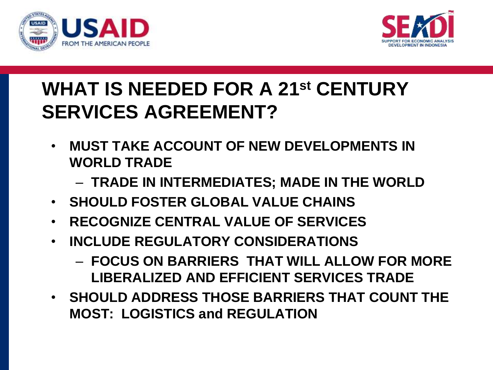



### **WHAT IS NEEDED FOR A 21st CENTURY SERVICES AGREEMENT?**

- **MUST TAKE ACCOUNT OF NEW DEVELOPMENTS IN WORLD TRADE**
	- **TRADE IN INTERMEDIATES; MADE IN THE WORLD**
- **SHOULD FOSTER GLOBAL VALUE CHAINS**
- **RECOGNIZE CENTRAL VALUE OF SERVICES**
- **INCLUDE REGULATORY CONSIDERATIONS**
	- **FOCUS ON BARRIERS THAT WILL ALLOW FOR MORE LIBERALIZED AND EFFICIENT SERVICES TRADE**
- **SHOULD ADDRESS THOSE BARRIERS THAT COUNT THE MOST: LOGISTICS and REGULATION**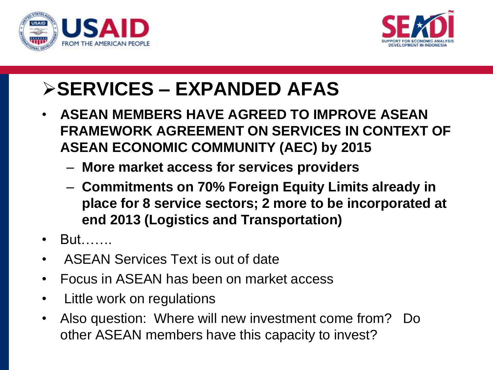



### **SERVICES – EXPANDED AFAS**

- **ASEAN MEMBERS HAVE AGREED TO IMPROVE ASEAN FRAMEWORK AGREEMENT ON SERVICES IN CONTEXT OF ASEAN ECONOMIC COMMUNITY (AEC) by 2015**
	- **More market access for services providers**
	- **Commitments on 70% Foreign Equity Limits already in place for 8 service sectors; 2 more to be incorporated at end 2013 (Logistics and Transportation)**
- But…….
- ASEAN Services Text is out of date
- Focus in ASEAN has been on market access
- Little work on regulations
- Also question: Where will new investment come from? Do other ASEAN members have this capacity to invest?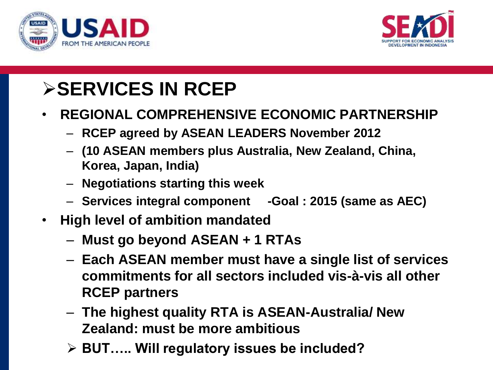



### **SERVICES IN RCEP**

- **REGIONAL COMPREHENSIVE ECONOMIC PARTNERSHIP**
	- **RCEP agreed by ASEAN LEADERS November 2012**
	- **(10 ASEAN members plus Australia, New Zealand, China, Korea, Japan, India)**
	- **Negotiations starting this week**
	- **Services integral component -Goal : 2015 (same as AEC)**
- **High level of ambition mandated**
	- **Must go beyond ASEAN + 1 RTAs**
	- **Each ASEAN member must have a single list of services commitments for all sectors included vis-à-vis all other RCEP partners**
	- **The highest quality RTA is ASEAN-Australia/ New Zealand: must be more ambitious**
	- **BUT….. Will regulatory issues be included?**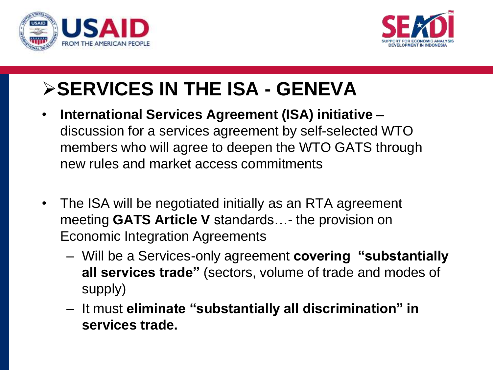



## **SERVICES IN THE ISA - GENEVA**

- **International Services Agreement (ISA) initiative –** discussion for a services agreement by self-selected WTO members who will agree to deepen the WTO GATS through new rules and market access commitments
- The ISA will be negotiated initially as an RTA agreement meeting **GATS Article V** standards…- the provision on Economic Integration Agreements
	- Will be a Services-only agreement **covering "substantially all services trade"** (sectors, volume of trade and modes of supply)
	- It must **eliminate "substantially all discrimination" in services trade.**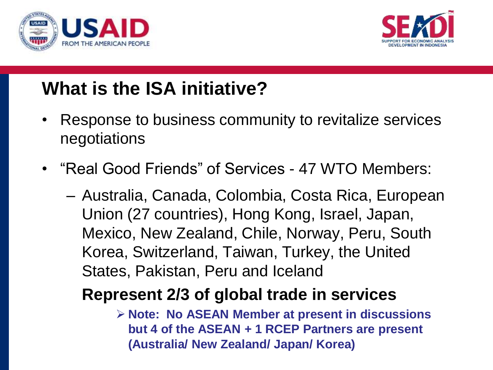



### **What is the ISA initiative?**

- Response to business community to revitalize services negotiations
- "Real Good Friends" of Services 47 WTO Members:
	- Australia, Canada, Colombia, Costa Rica, European Union (27 countries), Hong Kong, Israel, Japan, Mexico, New Zealand, Chile, Norway, Peru, South Korea, Switzerland, Taiwan, Turkey, the United States, Pakistan, Peru and Iceland

### **Represent 2/3 of global trade in services**

 **Note: No ASEAN Member at present in discussions but 4 of the ASEAN + 1 RCEP Partners are present (Australia/ New Zealand/ Japan/ Korea)**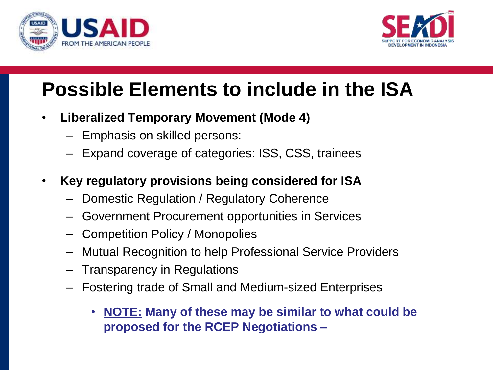



### **Possible Elements to include in the ISA**

- **Liberalized Temporary Movement (Mode 4)**
	- Emphasis on skilled persons:
	- Expand coverage of categories: ISS, CSS, trainees
- **Key regulatory provisions being considered for ISA**
	- Domestic Regulation / Regulatory Coherence
	- Government Procurement opportunities in Services
	- Competition Policy / Monopolies
	- Mutual Recognition to help Professional Service Providers
	- Transparency in Regulations
	- Fostering trade of Small and Medium-sized Enterprises
		- **NOTE: Many of these may be similar to what could be proposed for the RCEP Negotiations –**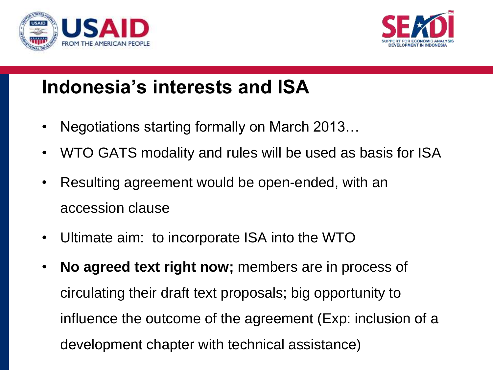



### **Indonesia's interests and ISA**

- Negotiations starting formally on March 2013...
- WTO GATS modality and rules will be used as basis for ISA
- Resulting agreement would be open-ended, with an accession clause
- Ultimate aim: to incorporate ISA into the WTO
- **No agreed text right now;** members are in process of circulating their draft text proposals; big opportunity to influence the outcome of the agreement (Exp: inclusion of a development chapter with technical assistance)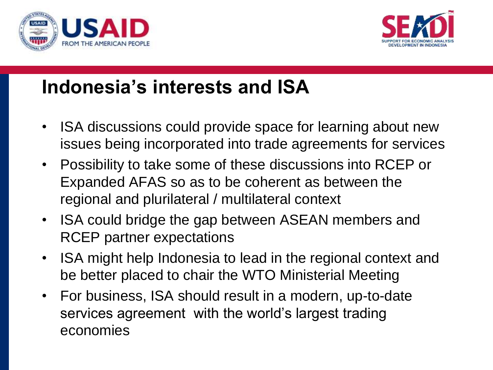



### **Indonesia's interests and ISA**

- ISA discussions could provide space for learning about new issues being incorporated into trade agreements for services
- Possibility to take some of these discussions into RCEP or Expanded AFAS so as to be coherent as between the regional and plurilateral / multilateral context
- ISA could bridge the gap between ASEAN members and RCEP partner expectations
- ISA might help Indonesia to lead in the regional context and be better placed to chair the WTO Ministerial Meeting
- For business, ISA should result in a modern, up-to-date services agreement with the world's largest trading economies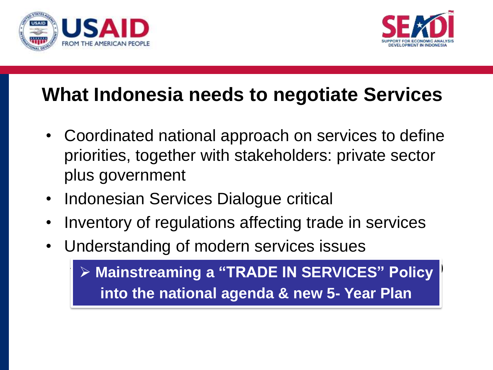



### **What Indonesia needs to negotiate Services**

- Coordinated national approach on services to define priorities, together with stakeholders: private sector plus government
- Indonesian Services Dialogue critical
- Inventory of regulations affecting trade in services
- Understanding of modern services issues

 $\triangleright$  Mainstreaming a "TRADE IN SERVICES" Policy **into the national agenda & new 5- Year Plan**